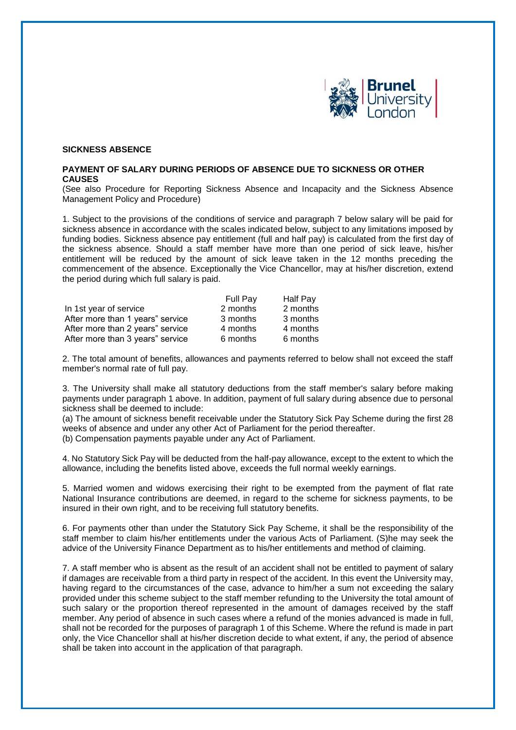

## **SICKNESS ABSENCE**

## **PAYMENT OF SALARY DURING PERIODS OF ABSENCE DUE TO SICKNESS OR OTHER CAUSES**

(See also Procedure for Reporting Sickness Absence and Incapacity and the Sickness Absence Management Policy and Procedure)

1. Subject to the provisions of the conditions of service and paragraph 7 below salary will be paid for sickness absence in accordance with the scales indicated below, subject to any limitations imposed by funding bodies. Sickness absence pay entitlement (full and half pay) is calculated from the first day of the sickness absence. Should a staff member have more than one period of sick leave, his/her entitlement will be reduced by the amount of sick leave taken in the 12 months preceding the commencement of the absence. Exceptionally the Vice Chancellor, may at his/her discretion, extend the period during which full salary is paid.

|                                  | <b>Full Pay</b> | Half Pay |
|----------------------------------|-----------------|----------|
| In 1st year of service           | 2 months        | 2 months |
| After more than 1 years" service | 3 months        | 3 months |
| After more than 2 years" service | 4 months        | 4 months |
| After more than 3 years" service | 6 months        | 6 months |

2. The total amount of benefits, allowances and payments referred to below shall not exceed the staff member's normal rate of full pay.

3. The University shall make all statutory deductions from the staff member's salary before making payments under paragraph 1 above. In addition, payment of full salary during absence due to personal sickness shall be deemed to include:

(a) The amount of sickness benefit receivable under the Statutory Sick Pay Scheme during the first 28 weeks of absence and under any other Act of Parliament for the period thereafter. (b) Compensation payments payable under any Act of Parliament.

4. No Statutory Sick Pay will be deducted from the half-pay allowance, except to the extent to which the allowance, including the benefits listed above, exceeds the full normal weekly earnings.

5. Married women and widows exercising their right to be exempted from the payment of flat rate National Insurance contributions are deemed, in regard to the scheme for sickness payments, to be insured in their own right, and to be receiving full statutory benefits.

6. For payments other than under the Statutory Sick Pay Scheme, it shall be the responsibility of the staff member to claim his/her entitlements under the various Acts of Parliament. (S)he may seek the advice of the University Finance Department as to his/her entitlements and method of claiming.

7. A staff member who is absent as the result of an accident shall not be entitled to payment of salary if damages are receivable from a third party in respect of the accident. In this event the University may, having regard to the circumstances of the case, advance to him/her a sum not exceeding the salary provided under this scheme subject to the staff member refunding to the University the total amount of such salary or the proportion thereof represented in the amount of damages received by the staff member. Any period of absence in such cases where a refund of the monies advanced is made in full, shall not be recorded for the purposes of paragraph 1 of this Scheme. Where the refund is made in part only, the Vice Chancellor shall at his/her discretion decide to what extent, if any, the period of absence shall be taken into account in the application of that paragraph.